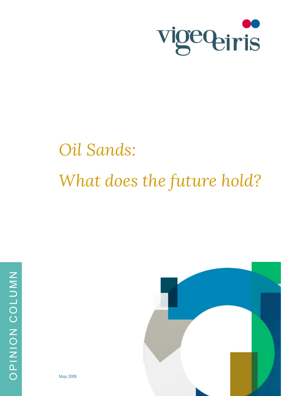

# *Oil Sands: What does the future hold?*



*May 2018*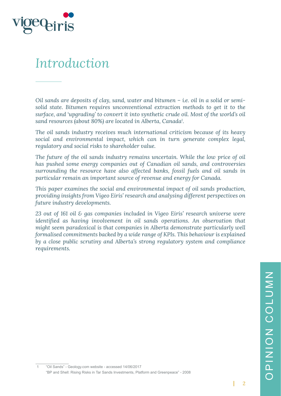

# *Introduction*

*Oil sands are deposits of clay, sand, water and bitumen – i.e. oil in a solid or semisolid state. Bitumen requires unconventional extraction methods to get it to the surface, and 'upgrading' to convert it into synthetic crude oil. Most of the world's oil sand resources (about 80%) are located in Alberta, Canada1 .*

*The oil sands industry receives much international criticism because of its heavy social and environmental impact, which can in turn generate complex legal, regulatory and social risks to shareholder value.*

*The future of the oil sands industry remains uncertain. While the low price of oil has pushed some energy companies out of Canadian oil sands, and controversies surrounding the resource have also affected banks, fossil fuels and oil sands in particular remain an important source of revenue and energy for Canada.* 

*This paper examines the social and environmental impact of oil sands production, providing insights from Vigeo Eiris' research and analysing different perspectives on future industry developments.*

*23 out of 161 oil & gas companies included in Vigeo Eiris' research universe were identified as having involvement in oil sands operations. An observation that might seem paradoxical is that companies in Alberta demonstrate particularly well formalised commitments backed by a wide range of KPIs. This behaviour is explained by a close public scrutiny and Alberta's strong regulatory system and compliance requirements.*

1 "Oil Sands" - Geology.com website - accessed 14/06/2017 "BP and Shell: Rising Risks in Tar Sands Investments, Platform and Greenpeace" - 2008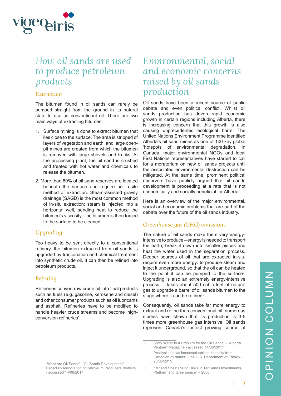

## *How oil sands are used to produce petroleum products*

#### *Extraction*

The bitumen found in oil sands can rarely be pumped straight from the ground in its natural state to use as conventional oil. There are two main ways of extracting bitumen:

- 1. Surface mining is done to extract bitumen that lies close to the surface. The area is stripped of layers of vegetation and earth, and large openpit mines are created from which the bitumen is removed with large shovels and trucks. At the processing plant, the oil sand is crushed and treated with hot water and chemicals to release the bitumen.
- 2. More than 80% of oil sand reserves are located beneath the surface and require an in-situ method of extraction. Steam-assisted gravity drainage (SAGD) is the most common method of in-situ extraction: steam is injected into a horizontal well, sending heat to reduce the bitumen's viscosity. The bitumen is then forced to the surface to be cleaned $\mathfrak{t}.$

#### *Upgrading*

Too heavy to be sent directly to a conventional refinery, the bitumen extracted from oil sands is upgraded by fractionation and chemical treatment into synthetic crude oil. It can then be refined into petroleum products.

#### *Refining*

Refineries convert raw crude oil into final products such as fuels (e.g. gasoline, kerosene and diesel) and other consumer products such as oil lubricants and asphalt. Refineries have to be modified to handle heavier crude streams and become 'highconversion refineries'.

### *Environmental, social and economic concerns raised by oil sands production*

Oil sands have been a recent source of public debate and even political conflict. Whilst oil sands production has driven rapid economic growth in certain regions including Alberta, there is increasing concern that this growth is also causing unprecedented ecological harm. The United Nations Environment Programme identified Alberta's oil sand mines as one of 100 key global 'hotspots' of environmental degradation. In Canada, major environmental NGOs and local First Nations representatives have started to call for a moratorium on new oil sands projects until the associated environmental destruction can be mitigated. At the same time, prominent political observers have publicly argued that oil sands development is proceeding at a rate that is not economically and socially beneficial for Alberta.

Here is an overview of the major environmental, social and economic problems that are part of the debate over the future of the oil sands industry.

#### *Greenhouse gas (GHG) emissions*

The nature of oil sands make them very energyintensive to produce – energy is needed to transport the earth, break it down into smaller pieces and heat the water used in the separation process. Deeper sources of oil that are extracted in-situ require even more energy: to produce steam and inject it underground, so that the oil can be heated to the point it can be pumped to the surface<sup>2</sup>. Upgrading is also an extremely energy-intensive process: it takes about 500 cubic feet of natural gas to upgrade a barrel of oil sands bitumen to the stage where it can be refined<sup>3</sup>.

Consequently, oil sands take far more energy to extract and refine than conventional oil: numerous studies have shown that its production is 3-5 times more greenhouse gas intensive. Oil sands represent Canada's fastest growing source of

<sup>2</sup> "Why Water Is a Problem for the Oil Sands" - "Alberta Venture" Magazine - accessed 14/06/2017 "Analysis shows increased carbon intensity from Canadian oil sands" - the U.S. Department of Energy - 26/06/2015

<sup>&</sup>quot;What are Oil Sands", "Oil Sands Development" -Canadian Association of Petroleum Producers' website - accessed 14/06/2017

<sup>3</sup> "BP and Shell: Rising Risks in Tar Sands Investments, Platform and Greenpeace" – 2008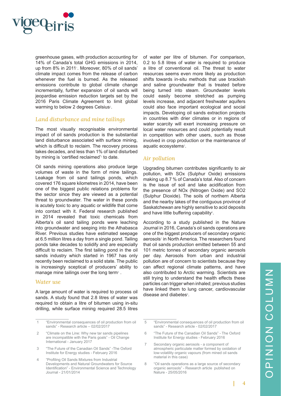

greenhouse gases, with production accounting for 14% of Canada's total GHG emissions in 2014, up from 8% in 2011<sup>,</sup> Moreover, 80% of oil sands' climate impact comes from the release of carbon whenever the fuel is burned. As the released emissions contribute to global climate change incrementally, further expansion of oil sands will jeopardise emission reduction targets set by the 2016 Paris Climate Agreement to limit global warming to below 2 degrees Celsius $^{\circ}$ .

#### *Land disturbance and mine tailings*

The most visually recognisable environmental impact of oil sands production is the substantial land disturbance associated with surface mining, which is difficult to reclaim. The recovery process takes decades, and less than 1% of land disturbed by mining is 'certified reclaimed'<sup>3</sup> to date.

Oil sands mining operations also produce large volumes of waste in the form of mine tailings. Leakage from oil sand tailings ponds, which covered 176 square kilometres in 2014, have been one of the biggest public relations problems for the sector since they are viewed as a potential threat to groundwater. The water in these ponds is acutely toxic to any aquatic or wildlife that come into contact with it. Federal research published in 2014 revealed that toxic chemicals from Alberta's oil sand tailing ponds were leaching into groundwater and seeping into the Athabasca River. Previous studies have estimated seepage at 6.5 million litres a day from a single pond. Tailing ponds take decades to solidify and are especially difficult to reclaim. The first tailing pond in the oil sands industry which started in 1967 has only recently been reclaimed to a solid state. The public is increasingly sceptical of producers' ability to manage mine tailings over the long term<sup>4</sup>.

#### *Water use*

A large amount of water is required to process oil sands. A study found that 2.8 litres of water was required to obtain a litre of bitumen using in-situ drilling, while surface mining required 28.5 litres

- 3 "The Future of the Canadian Oil Sands" -The Oxford Institute for Energy studies - February 2016
- 4 "Profiling Oil Sands Mixtures from Industrial Developments and Natural Groundwaters for Source Identification" - Environmental Science and Technology Journal - 21/01/2014

of water per litre of bitumen. For comparison, 0.2 to 5.8 litres of water is required to produce a litre of conventional oil. The threat to water resources seems even more likely as production shifts towards in-situ methods that use brackish and saline groundwater that is treated before being turned into steam. Groundwater levels could easily become stretched as pumping levels increase, and adjacent freshwater aquifers could also face important ecological and social impacts. Developing oil sands extraction projects in countries with drier climates or in regions of water scarcity will exert increasing pressure on local water resources and could potentially result in competition with other users, such as those involved in crop production or the maintenance of aquatic ecosystems<sup>5</sup>.

#### *Air pollution*

Upgrading bitumen contributes significantly to air pollution, with SOx (Sulphur Oxide) emissions making up 8.7 % of Canada's total. Also of concern is the issue of soil and lake acidification from the presence of NOx (Nitrogen Oxide) and SO2 (Sulphur Dioxide). The soils of northern Alberta and the nearby lakes of the contiguous province of Saskatchewan are highly sensitive to acid deposits and have little buffering capability $^{\circ}$ .

According to a study published in the Nature Journal in 2016, Canada's oil sands operations are one of the biggest producers of secondary organic aerosols7 in North America. The researchers found that oil sands production emitted between 55 and 101 metric tonnes of secondary organic aerosols per day. Aerosols from urban and industrial pollution are of concern to scientists because they can affect regional climate patterns, and have also contributed to Arctic warming. Scientists are still trying to understand the health effects these particles can trigger when inhaled; previous studies have linked them to lung cancer, cardiovascular disease and diabetes $^{\text{\tiny{8}}}$ .

- 5 "Environmental consequences of oil production from oil sands" - Research article - 02/02/2017
- 6 "The Future of the Canadian Oil Sands" The Oxford Institute for Energy studies - February 2016
- 7 Secondary organic aerosols a component of atmospheric particulate matter formed by oxidation of low-volatility organic vapours (from mined oil sands material in this case)
- "Oil sands operations as a large source of secondary organic aerosols" - Research article published on Nature - 25/05/2016

<sup>1</sup> "Environmental consequences of oil production from oil sands" - Research article – 02/02/2017

<sup>2</sup> "Climate on the Line: Why new tar sands pipelines are incompatible with the Paris goals" - Oil Change International - January 2017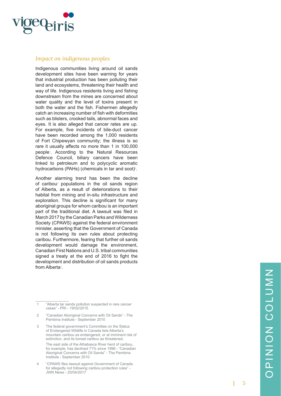

#### *Impact on indigenous peoples*

Indigenous communities living around oil sands development sites have been warning for years that industrial production has been polluting their land and ecosystems, threatening their health and way of life. Indigenous residents living and fishing downstream from the mines are concerned about water quality and the level of toxins present in both the water and the fish. Fishermen allegedly catch an increasing number of fish with deformities such as blisters, crooked tails, abnormal faces and eyes. It is also alleged that cancer rates are up. For example, five incidents of bile-duct cancer have been recorded among the 1,000 residents of Fort Chipewyan community; the illness is so rare it usually affects no more than 1 in 100,000 people 1 . According to the Natural Resources Defence Council, biliary cancers have been linked to petroleum and to polycyclic aromatic hydrocarbons (PAHs) (chemicals in tar and soot) 2 .

Another alarming trend has been the decline of caribou 3 populations in the oil sands region of Alberta, as a result of deteriorations to their habitat from mining and in-situ infrastructure and exploration. This decline is significant for many aboriginal groups for whom caribou is an important part of the traditional diet. A lawsuit was filed in March 2017 by the Canadian Parks and Wilderness Society (CPAWS) against the federal environment minister, asserting that the Government of Canada is not following its own rules about protecting caribou. Furthermore, fearing that further oil sands development would damage the environment, Canadian First Nations and U.S. tribal communities signed a treaty at the end of 2016 to fight the development and distribution of oil sands products from Alberta 4 .

- 2 "Canadian Aboriginal Concerns with Oil Sands" The Pembina Institute - September 2010
- 3 The federal government's Committee on the Status of Endangered Wildlife in Canada lists Alberta's mountain caribou as endangered, or at imminent risk of extinction, and its boreal caribou as threatened. The east side of the Athabasca River herd of caribou, for example, has declined 71% since 1996 - "Canadian Aboriginal Concerns with Oil Sands" - The Pembina Institute - September 2010
- 4 "CPAWS files lawsuit against Government of Canada for allegedly not following caribou protection rules" - JWN News - 20/04/2017

<sup>1</sup> "Alberta tar sands pollution suspected in rare cancer cases" - PRI - 19/02/2015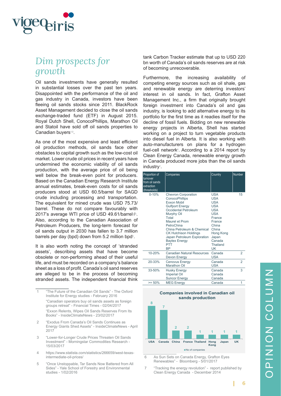

# *Dim prospects for growth*

Oil sands investments have generally resulted in substantial losses over the past ten years. Disappointed with the performance of the oil and gas industry in Canada, investors have been fleeing oil sands stocks since 2011. BlackRock Asset Management decided to close the oil sands exchange-traded fund (ETF) in August 2015. Royal Dutch Shell, ConocoPhillips, Marathon Oil and Statoil have sold off oil sands properties to Canadian buyers<sup>1/2</sup>.

As one of the most expensive and least efficient oil production methods, oil sands face other obstacles to capital growth such as the low-cost oil market. Lower crude oil prices in recent years have undermined the economic viability of oil sands production, with the average price of oil being well below the break-even point for producers. Based on the Canadian Energy Research Institute annual estimates, break-even costs for oil sands producers stood at USD 60.5/barrel for SAGD crude including processing and transportation. The equivalent for mined crude was USD 75.73/ barrel. These do not compare favourably with 2017's average WTI price of USD 49.61/barrel3/4. Also, according to the Canadian Association of Petroleum Producers, the long-term forecast for oil sands output in 2030 has fallen to 3.7 million barrels per day (bpd) down from 5.2 million bpd $^{\rm 5.}$ 

It is also worth noting the concept of 'stranded assets', describing assets that have become obsolete or non-performing ahead of their useful life, and must be recorded on a company's balance sheet as a loss of profit. Canada's oil sand reserves are alleged to be in the process of becoming stranded assets. The independent financial think

- 1 "The Future of the Canadian Oil Sands" The Oxford Institute for Energy studies - February 2016 "Canadian operators buy oil sands assets as foreign groups retreat" - Financial Times - 02/04/2017 "Exxon Relents, Wipes Oil Sands Reserves From Its Books" - InsideClimateNews - 23/02/2017
- 2 "Exodus From Canada's Oil Sands Continues as Energy Giants Shed Assets" - InsideClimateNews - April 2017
- 3 "Lower-for-Longer Crude Prices Threaten Oil Sands Investment" - Morningstar Commodities Research - 15/03/2017
- 4 https://www.statista.com/statistics/266659/west-texasintermediate-oil-prices/
- 5 "Once Unstoppable, Tar Sands Now Battered from All Sides" - Yale School of Forestry and Environmental studies - 1/02/2016

tank Carbon Tracker estimate that up to USD 220 bn worth of Canada's oil sands reserves are at risk of becoming unrecoverable.

Furthermore, the increasing availability of competing energy sources such as oil shale, gas and renewable energy are deterring investors' interest in oil sands. In fact, Grafton Asset Management Inc., a firm that originally brought foreign investment into Canada's oil and gas industry, is looking to add alternative energy to its portfolio for the first time as it readies itself for the decline of fossil fuels. Bidding on new renewable energy projects in Alberta, Shell has started working on a project to turn vegetable products into diesel fuel in Alberta. It is also working with auto-manufacturers on plans for a hydrogen fuel-cell network<sup>6</sup>. According to a 2014 report by Clean Energy Canada, renewable energy growth in Canada produced more jobs than the oil sands industry<sup>∞</sup>.

| Proportion of<br>turnover<br>from oil sands<br>extraction<br>(thresholds) | Companies                                                                                                                                                                                                                                                                                                                                 | Country                                                                                                                                             | Number         |
|---------------------------------------------------------------------------|-------------------------------------------------------------------------------------------------------------------------------------------------------------------------------------------------------------------------------------------------------------------------------------------------------------------------------------------|-----------------------------------------------------------------------------------------------------------------------------------------------------|----------------|
| $0 - 10%$                                                                 | <b>Chevron Corporation</b><br><b>ConocoPhillips</b><br><b>Exxon Mobil</b><br><b>Gulfport Energy</b><br>Occidental Petroleum<br><b>Murphy Oil</b><br>Total<br>Maurel et Prom<br>PetroChina<br>China Petroleum & Chemical<br><b>CK Hutchison Holdings</b><br>Japan Petroleum Exploration<br><b>Baytex Energy</b><br><b>PTT</b><br><b>BP</b> | USA<br>USA<br>USA<br><b>USA</b><br><b>USA</b><br><b>USA</b><br>France<br>France<br>China<br>China<br>Hong Kong<br>Japan<br>Canada<br>Thailand<br>UK | 15             |
| 10-20%                                                                    | Canadian Natural Resources<br>Devon Energy                                                                                                                                                                                                                                                                                                | Canada<br>USA                                                                                                                                       | $\mathfrak{p}$ |
| 20-33%                                                                    | Cenovus Energy<br>Marathon Oil                                                                                                                                                                                                                                                                                                            | Canada<br><b>USA</b>                                                                                                                                | $\mathfrak{p}$ |
| 33-50%                                                                    | <b>Husky Energy</b><br><b>Imperial Oil</b><br><b>Suncor Energy</b>                                                                                                                                                                                                                                                                        | Canada<br>Canada<br>Canada                                                                                                                          | 3              |
| $>= 50%$                                                                  | <b>MEG Energy</b>                                                                                                                                                                                                                                                                                                                         | Canada                                                                                                                                              | 1              |



- 6 As Sun Sets on Canada Energy, Grafton Eyes Renewables" - Bloomberg - 5/01/2017
- 7 "Tracking the energy revolution" report published by Clean Energy Canada - December 2014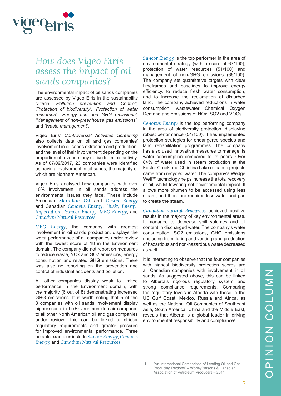

### *How does Vigeo Eiris assess the impact of oil sands companies?*

The environmental impact of oil sands companies are assessed by Vigeo Eiris in the sustainability criteria *'Pollution prevention and Control', 'Protection of biodiversity', 'Protection of water resources', 'Energy use and GHG emissions', 'Management of non-greenhouse gas emissions',*  and *'Waste management'*.

Vigeo Eiris' *Controversial Activities Screening*  also collects data on oil and gas companies' involvement in oil sands extraction and production, and the level of their involvement depending on the proportion of revenue they derive from this activity. As of 07/09/2017, 23 companies were identified as having involvement in oil sands, the majority of which are Northern American.

Vigeo Eiris analysed how companies with over 10% involvement in oil sands address the environmental issues they face. These include American *Marathon Oil* and *Devon Energy*  and Canadian *Cenovus Energy*, *Husky Energy*, *Imperial Oil*, *Suncor Energy*, *MEG Energy*, and *Canadian Natural Resources*.

*MEG Energy*, the company with greatest involvement in oil sands production, displays the worst performance of all companies under review with the lowest score of 18 in the Environment domain. The company did not report on measures to reduce waste, NOx and SO2 emissions, energy consumption and related GHG emissions. There was also no reporting on the prevention and control of industrial accidents and pollution.

All other companies display weak to limited performance in the Environment domain, with the majority (6 out of 8) demonstrating increased GHG emissions. It is worth noting that 5 of the 8 companies with oil sands involvement display higher scores in the Environment domain compared to all other North American oil and gas companies under review. This can be linked to stricter regulatory requirements and greater pressure for improved environmental performance. Three notable examples include *Suncor Energy*, *Cenovus Energy* and *Canadian Natural Resources*.

*Suncor Energy* is the top performer in the area of environmental strategy (with a score of 67/100), protection of water resources (51/100) and management of non-GHG emissions (66/100). The company set quantitative targets with clear timeframes and baselines to improve energy efficiency, to reduce fresh water consumption, and to increase the reclamation of disturbed land. The company achieved reductions in water consumption, wastewater Chemical Oxygen Demand and emissions of NOx, SO2 and VOCs.

*Cenovus Energy* is the top performing company in the area of biodiversity protection, displaying robust performance (54/100). It has implemented protection strategies for endangered species and land rehabilitation programmes. The company has also used innovative measures to manage its water consumption compared to its peers. Over 84% of water used in steam production at the Foster Creek and Christina Lake oil sands projects came from recycled water. The company's Wedge Well™ technology helps increase the total recovery of oil, whilst lowering net environmental impact. It allows more bitumen to be accessed using less steam, and therefore requires less water and gas to create the steam.

*Canadian Natural Resources* achieved positive results in the majority of key environmental areas. It managed to decrease spill volumes and oil content in discharged water. The company's water consumption, SO2 emissions, GHG emissions (including from flaring and venting) and production of hazardous and non-hazardous waste decreased as well.

It is interesting to observe that the four companies with highest biodiversity protection scores are all Canadian companies with involvement in oil sands. As suggested above, this can be linked to Alberta's rigorous regulatory system and strong compliance requirements. Comparing the regulatory levels in Alberta with those in the US Gulf Coast, Mexico, Russia and Africa, as well as the National Oil Companies of Southeast Asia, South America, China and the Middle East, reveals that Alberta is a global leader in driving environmental responsibility and compliance<sup>1</sup>.

<sup>&</sup>quot;An International Comparison of Leading Oil and Gas Producing Regions" – WorleyParsons & Canadian Association of Petroleum Producers – 2014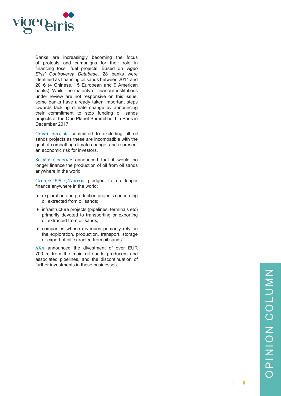

Banks are increasingly becoming the focus of protests and campaigns for their role in financing fossil fuel projects. Based on *Vigeo Eiris' Controversy Database*, 28 banks were identified as financing oil sands between 2014 and 2016 (4 Chinese, 15 European and 9 American banks). Whilst the majority of financial institutions under review are not responsive on this issue, some banks have already taken important steps towards tackling climate change by announcing their commitment to stop funding oil sands projects at the One Planet Summit held in Paris in December 2017.

*Credit Agricole* committed to excluding all oil sands projects as these are incompatible with the goal of combatting climate change, and represent an economic risk for investors.

*Société Générale* announced that it would no longer finance the production of oil from oil sands anywhere in the world.

*Groupe BPCE/Natixis* pledged to no longer finance anywhere in the world:

- exploration and production projects concerning oil extracted from oil sands;
- $\triangleright$  infrastructure projects (pipelines, terminals etc) primarily devoted to transporting or exporting oil extracted from oil sands;
- companies whose revenues primarily rely on the exploration, production, transport, storage or export of oil extracted from oil sands.

*AXA* announced the divestment of over EUR 700 m from the main oil sands producers and associated pipelines, and the discontinuation of further investments in these businesses.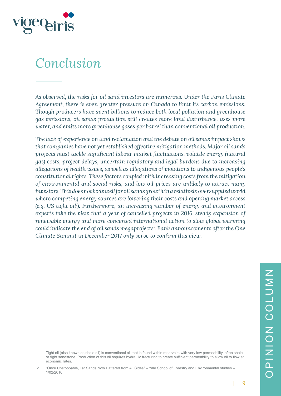

# *Conclusion*

*As observed, the risks for oil sand investors are numerous. Under the Paris Climate Agreement, there is even greater pressure on Canada to limit its carbon emissions. Though producers have spent billions to reduce both local pollution and greenhouse gas emissions, oil sands production still creates more land disturbance, uses more water, and emits more greenhouse gases per barrel than conventional oil production.* 

*The lack of experience on land reclamation and the debate on oil sands impact shows that companies have not yet established effective mitigation methods. Major oil sands projects must tackle significant labour market fluctuations, volatile energy (natural gas) costs, project delays, uncertain regulatory and legal burdens due to increasing allegations of health issues, as well as allegations of violations to indigenous people's constitutional rights. These factors coupled with increasing costs from the mitigation of environmental and social risks, and low oil prices are unlikely to attract many investors. This does not bode well for oil sands growth in a relatively oversupplied world where competing energy sources are lowering their costs and opening market access (e.g. US tight oil*<sup>1</sup> *). Furthermore, an increasing number of energy and environment*  experts take the view that a year of cancelled projects in 2016, steady expansion of *renewable energy and more concerted international action to slow global warming could indicate the end of oil sands megaprojects*<sup>2</sup> *. Bank announcements after the One Climate Summit in December 2017 only serve to confirm this view.* 

Tight oil (also known as shale oil) is conventional oil that is found within reservoirs with very low permeability, often shale or tight sandstone. Production of this oil requires hydraulic fracturing to create sufficient permeability to allow oil to flow at economic rates

<sup>2</sup> "Once Unstoppable, Tar Sands Now Battered from All Sides" – Yale School of Forestry and Environmental studies – 1/02/2016